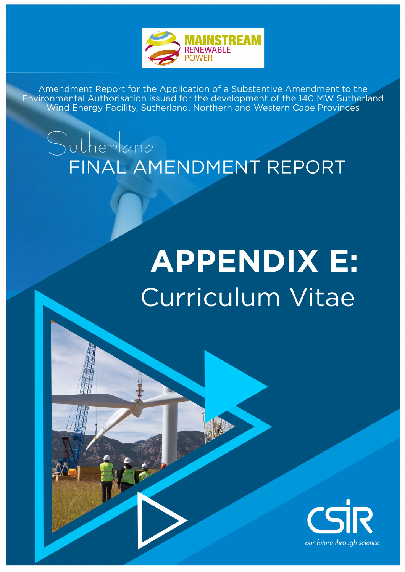

## Sutherland FINAL AMENDMENT REPORT

# **APPENDIX E:** Curriculum Vitae

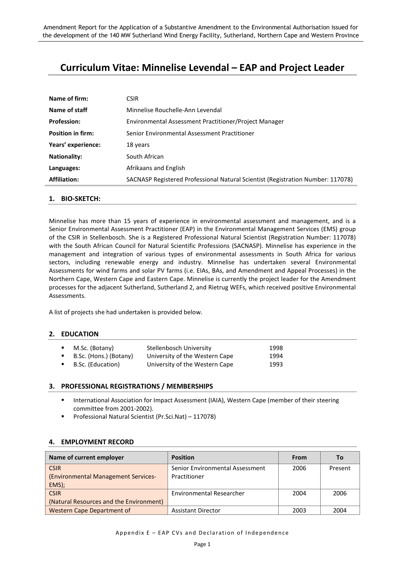### **Curriculum Vitae: Minnelise Levendal – EAP and Project Leader**

| Name of firm:            | <b>CSIR</b>                                                                     |
|--------------------------|---------------------------------------------------------------------------------|
| Name of staff            | Minnelise Rouchelle-Ann Levendal                                                |
| <b>Profession:</b>       | Environmental Assessment Practitioner/Project Manager                           |
| <b>Position in firm:</b> | Senior Environmental Assessment Practitioner                                    |
| Years' experience:       | 18 years                                                                        |
| <b>Nationality:</b>      | South African                                                                   |
| Languages:               | Afrikaans and English                                                           |
| <b>Affiliation:</b>      | SACNASP Registered Professional Natural Scientist (Registration Number: 117078) |
|                          |                                                                                 |

#### **1. BIO-SKETCH:**

Minnelise has more than 15 years of experience in environmental assessment and management, and is a Senior Environmental Assessment Practitioner (EAP) in the Environmental Management Services (EMS) group of the CSIR in Stellenbosch. She is a Registered Professional Natural Scientist (Registration Number: 117078) with the South African Council for Natural Scientific Professions (SACNASP). Minnelise has experience in the management and integration of various types of environmental assessments in South Africa for various sectors, including renewable energy and industry. Minnelise has undertaken several Environmental Assessments for wind farms and solar PV farms (i.e. EIAs, BAs, and Amendment and Appeal Processes) in the Northern Cape, Western Cape and Eastern Cape. Minnelise is currently the project leader for the Amendment processes for the adjacent Sutherland, Sutherland 2, and Rietrug WEFs, which received positive Environmental Assessments.

A list of projects she had undertaken is provided below.

#### **2. EDUCATION**

| M.Sc. (Botany)         | Stellenbosch University        | 1998 |
|------------------------|--------------------------------|------|
| B.Sc. (Hons.) (Botany) | University of the Western Cape | 1994 |
| B.Sc. (Education)      | University of the Western Cape | 1993 |

#### **3. PROFESSIONAL REGISTRATIONS / MEMBERSHIPS**

- International Association for Impact Assessment (IAIA), Western Cape (member of their steering committee from 2001-2002).
- Professional Natural Scientist (Pr.Sci.Nat) 117078)

#### **4. EMPLOYMENT RECORD**

| Name of current employer                | <b>Position</b>                 | From | Τo      |
|-----------------------------------------|---------------------------------|------|---------|
| <b>CSIR</b>                             | Senior Environmental Assessment | 2006 | Present |
| (Environmental Management Services-     | Practitioner                    |      |         |
| EMS);                                   |                                 |      |         |
| <b>CSIR</b>                             | Environmental Researcher        | 2004 | 2006    |
| (Natural Resources and the Environment) |                                 |      |         |
| <b>Western Cape Department of</b>       | <b>Assistant Director</b>       | 2003 | 2004    |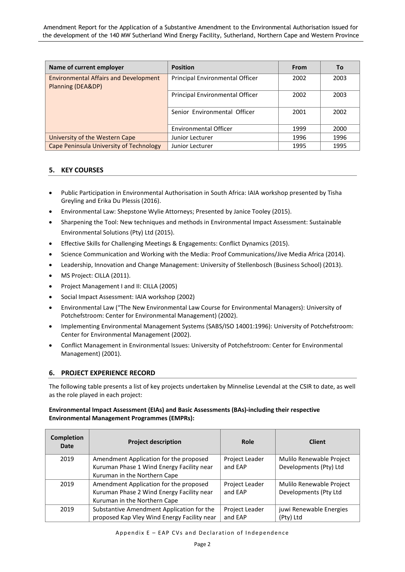| Name of current employer                                          | <b>Position</b>                 | From | To   |
|-------------------------------------------------------------------|---------------------------------|------|------|
| <b>Environmental Affairs and Development</b><br>Planning (DEA&DP) | Principal Environmental Officer | 2002 | 2003 |
|                                                                   | Principal Environmental Officer | 2002 | 2003 |
|                                                                   | Senior Environmental Officer    | 2001 | 2002 |
|                                                                   | <b>Environmental Officer</b>    | 1999 | 2000 |
| University of the Western Cape                                    | Junior Lecturer                 | 1996 | 1996 |
| Cape Peninsula University of Technology                           | Junior Lecturer                 | 1995 | 1995 |

#### **5. KEY COURSES**

- Public Participation in Environmental Authorisation in South Africa: IAIA workshop presented by Tisha Greyling and Erika Du Plessis (2016).
- Environmental Law: Shepstone Wylie Attorneys; Presented by Janice Tooley (2015).
- Sharpening the Tool: New techniques and methods in Environmental Impact Assessment: Sustainable Environmental Solutions (Pty) Ltd (2015).
- Effective Skills for Challenging Meetings & Engagements: Conflict Dynamics (2015).
- Science Communication and Working with the Media: Proof Communications/Jive Media Africa (2014).
- Leadership, Innovation and Change Management: University of Stellenbosch (Business School) (2013).
- MS Project: CILLA (2011).
- Project Management I and II: CILLA (2005)
- Social Impact Assessment: IAIA workshop (2002)
- Environmental Law ("The New Environmental Law Course for Environmental Managers): University of Potchefstroom: Center for Environmental Management) (2002).
- Implementing Environmental Management Systems (SABS/ISO 14001:1996): University of Potchefstroom: Center for Environmental Management (2002).
- Conflict Management in Environmental Issues: University of Potchefstroom: Center for Environmental Management) (2001).

#### **6. PROJECT EXPERIENCE RECORD**

The following table presents a list of key projects undertaken by Minnelise Levendal at the CSIR to date, as well as the role played in each project:

#### **Environmental Impact Assessment (EIAs) and Basic Assessments (BAs)-including their respective Environmental Management Programmes (EMPRs):**

| Completion<br>Date | <b>Project description</b>                  | Role           | <b>Client</b>            |
|--------------------|---------------------------------------------|----------------|--------------------------|
| 2019               | Amendment Application for the proposed      | Project Leader | Mulilo Renewable Project |
|                    | Kuruman Phase 1 Wind Energy Facility near   | and EAP        | Developments (Pty) Ltd   |
|                    | Kuruman in the Northern Cape                |                |                          |
| 2019               | Amendment Application for the proposed      | Project Leader | Mulilo Renewable Project |
|                    | Kuruman Phase 2 Wind Energy Facility near   | and EAP        | Developments (Pty Ltd    |
|                    | Kuruman in the Northern Cape                |                |                          |
| 2019               | Substantive Amendment Application for the   | Project Leader | juwi Renewable Energies  |
|                    | proposed Kap Vley Wind Energy Facility near | and EAP        | (Pty) Ltd                |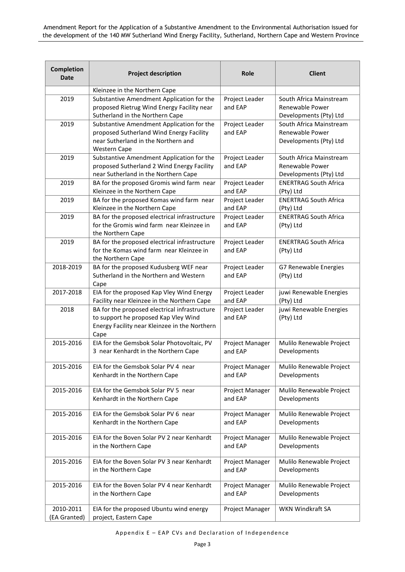| Completion<br><b>Date</b> | <b>Project description</b>                                                                   | <b>Role</b>               | <b>Client</b>                        |
|---------------------------|----------------------------------------------------------------------------------------------|---------------------------|--------------------------------------|
|                           | Kleinzee in the Northern Cape                                                                |                           |                                      |
| 2019                      | Substantive Amendment Application for the                                                    | Project Leader            | South Africa Mainstream              |
|                           | proposed Rietrug Wind Energy Facility near                                                   | and EAP                   | Renewable Power                      |
|                           | Sutherland in the Northern Cape                                                              |                           | Developments (Pty) Ltd               |
| 2019                      | Substantive Amendment Application for the                                                    | Project Leader            | South Africa Mainstream              |
|                           | proposed Sutherland Wind Energy Facility                                                     | and EAP                   | Renewable Power                      |
|                           | near Sutherland in the Northern and                                                          |                           | Developments (Pty) Ltd               |
|                           | <b>Western Cape</b>                                                                          |                           |                                      |
| 2019                      | Substantive Amendment Application for the                                                    | Project Leader            | South Africa Mainstream              |
|                           | proposed Sutherland 2 Wind Energy Facility                                                   | and EAP                   | Renewable Power                      |
|                           | near Sutherland in the Northern Cape                                                         |                           | Developments (Pty) Ltd               |
| 2019                      | BA for the proposed Gromis wind farm near                                                    | Project Leader            | <b>ENERTRAG South Africa</b>         |
|                           | Kleinzee in the Northern Cape                                                                | and EAP                   | (Pty) Ltd                            |
| 2019                      | BA for the proposed Komas wind farm near                                                     | Project Leader            | <b>ENERTRAG South Africa</b>         |
|                           | Kleinzee in the Northern Cape                                                                | and EAP                   | (Pty) Ltd                            |
| 2019                      | BA for the proposed electrical infrastructure                                                | Project Leader            | <b>ENERTRAG South Africa</b>         |
|                           | for the Gromis wind farm near Kleinzee in                                                    | and EAP                   | (Pty) Ltd                            |
|                           | the Northern Cape                                                                            |                           |                                      |
| 2019                      | BA for the proposed electrical infrastructure                                                | Project Leader            | <b>ENERTRAG South Africa</b>         |
|                           | for the Komas wind farm near Kleinzee in                                                     | and EAP                   | (Pty) Ltd                            |
|                           | the Northern Cape                                                                            |                           |                                      |
| 2018-2019                 | BA for the proposed Kudusberg WEF near                                                       | Project Leader            | G7 Renewable Energies                |
|                           | Sutherland in the Northern and Western                                                       | and EAP                   | (Pty) Ltd                            |
|                           | Cape                                                                                         |                           |                                      |
| 2017-2018                 | EIA for the proposed Kap Vley Wind Energy                                                    | Project Leader<br>and EAP | juwi Renewable Energies              |
| 2018                      | Facility near Kleinzee in the Northern Cape<br>BA for the proposed electrical infrastructure |                           | (Pty) Ltd<br>juwi Renewable Energies |
|                           | to support he proposed Kap Vley Wind                                                         | Project Leader<br>and EAP | (Pty) Ltd                            |
|                           | Energy Facility near Kleinzee in the Northern                                                |                           |                                      |
|                           | Cape                                                                                         |                           |                                      |
| 2015-2016                 | EIA for the Gemsbok Solar Photovoltaic, PV                                                   | Project Manager           | Mulilo Renewable Project             |
|                           | 3 near Kenhardt in the Northern Cape                                                         | and EAP                   | Developments                         |
|                           |                                                                                              |                           |                                      |
| 2015-2016                 | EIA for the Gemsbok Solar PV 4 near                                                          | Project Manager           | Mulilo Renewable Project             |
|                           | Kenhardt in the Northern Cape                                                                | and EAP                   | Developments                         |
|                           |                                                                                              |                           |                                      |
| 2015-2016                 | EIA for the Gemsbok Solar PV 5 near                                                          | Project Manager           | Mulilo Renewable Project             |
|                           | Kenhardt in the Northern Cape                                                                | and EAP                   | Developments                         |
| 2015-2016                 | EIA for the Gemsbok Solar PV 6 near                                                          | Project Manager           | Mulilo Renewable Project             |
|                           | Kenhardt in the Northern Cape                                                                | and EAP                   | Developments                         |
|                           |                                                                                              |                           |                                      |
| 2015-2016                 | EIA for the Boven Solar PV 2 near Kenhardt                                                   | Project Manager           | Mulilo Renewable Project             |
|                           | in the Northern Cape                                                                         | and EAP                   | Developments                         |
|                           |                                                                                              |                           |                                      |
| 2015-2016                 | EIA for the Boven Solar PV 3 near Kenhardt                                                   | Project Manager           | Mulilo Renewable Project             |
|                           | in the Northern Cape                                                                         | and EAP                   | Developments                         |
|                           |                                                                                              |                           |                                      |
| 2015-2016                 | EIA for the Boven Solar PV 4 near Kenhardt                                                   | Project Manager           | Mulilo Renewable Project             |
|                           | in the Northern Cape                                                                         | and EAP                   | Developments                         |
| 2010-2011                 | EIA for the proposed Ubuntu wind energy                                                      | Project Manager           | WKN Windkraft SA                     |
| (EA Granted)              | project, Eastern Cape                                                                        |                           |                                      |
|                           |                                                                                              |                           |                                      |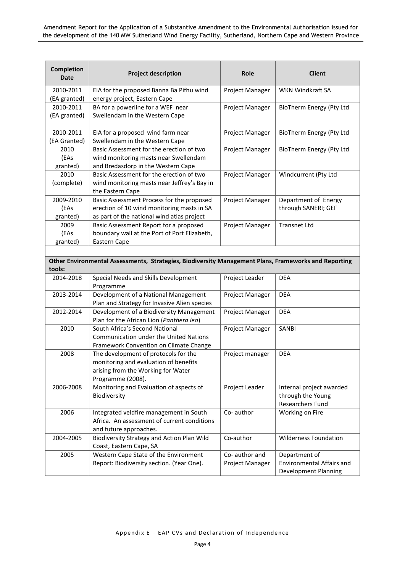| <b>Completion</b><br><b>Date</b> | <b>Project description</b>                                                                           | Role            | <b>Client</b>                    |
|----------------------------------|------------------------------------------------------------------------------------------------------|-----------------|----------------------------------|
| 2010-2011                        | EIA for the proposed Banna Ba Pifhu wind                                                             | Project Manager | WKN Windkraft SA                 |
| (EA granted)                     | energy project, Eastern Cape                                                                         |                 |                                  |
| 2010-2011                        | BA for a powerline for a WEF near                                                                    | Project Manager | BioTherm Energy (Pty Ltd         |
| (EA granted)                     | Swellendam in the Western Cape                                                                       |                 |                                  |
| 2010-2011                        | EIA for a proposed wind farm near                                                                    | Project Manager | BioTherm Energy (Pty Ltd         |
| (EA Granted)                     | Swellendam in the Western Cape                                                                       |                 |                                  |
| 2010                             | Basic Assessment for the erection of two                                                             | Project Manager | BioTherm Energy (Pty Ltd         |
| (EAs                             | wind monitoring masts near Swellendam                                                                |                 |                                  |
| granted)                         | and Bredasdorp in the Western Cape                                                                   |                 |                                  |
| 2010<br>(complete)               | Basic Assessment for the erection of two<br>wind monitoring masts near Jeffrey's Bay in              | Project Manager | Windcurrent (Pty Ltd             |
|                                  | the Eastern Cape                                                                                     |                 |                                  |
| 2009-2010                        | Basic Assessment Process for the proposed                                                            | Project Manager | Department of Energy             |
| (EAs                             | erection of 10 wind monitoring masts in SA                                                           |                 | through SANERI; GEF              |
| granted)                         | as part of the national wind atlas project                                                           |                 |                                  |
| 2009                             | Basic Assessment Report for a proposed                                                               | Project Manager | <b>Transnet Ltd</b>              |
| (EAs                             | boundary wall at the Port of Port Elizabeth,                                                         |                 |                                  |
| granted)                         | Eastern Cape                                                                                         |                 |                                  |
|                                  |                                                                                                      |                 |                                  |
|                                  | Other Environmental Assessments, Strategies, Biodiversity Management Plans, Frameworks and Reporting |                 |                                  |
| tools:                           |                                                                                                      |                 |                                  |
| 2014-2018                        | Special Needs and Skills Development<br>Programme                                                    | Project Leader  | <b>DEA</b>                       |
| 2013-2014                        | Development of a National Management                                                                 | Project Manager | <b>DEA</b>                       |
|                                  | Plan and Strategy for Invasive Alien species                                                         |                 |                                  |
| 2012-2014                        | Development of a Biodiversity Management<br>Plan for the African Lion (Panthera leo)                 | Project Manager | <b>DEA</b>                       |
| 2010                             | South Africa's Second National                                                                       | Project Manager | SANBI                            |
|                                  | Communication under the United Nations                                                               |                 |                                  |
|                                  | Framework Convention on Climate Change                                                               |                 |                                  |
| 2008                             | The development of protocols for the                                                                 | Project manager | <b>DEA</b>                       |
|                                  | monitoring and evaluation of benefits                                                                |                 |                                  |
|                                  | arising from the Working for Water                                                                   |                 |                                  |
|                                  | Programme (2008).                                                                                    |                 |                                  |
| 2006-2008                        | Monitoring and Evaluation of aspects of                                                              | Project Leader  | Internal project awarded         |
|                                  | Biodiversity                                                                                         |                 | through the Young                |
|                                  |                                                                                                      |                 | <b>Researchers Fund</b>          |
| 2006                             | Integrated veldfire management in South                                                              | Co-author       | Working on Fire                  |
|                                  | Africa. An assessment of current conditions                                                          |                 |                                  |
|                                  | and future approaches.                                                                               |                 |                                  |
| 2004-2005                        | Biodiversity Strategy and Action Plan Wild                                                           | Co-author       | <b>Wilderness Foundation</b>     |
|                                  | Coast, Eastern Cape, SA                                                                              |                 |                                  |
| 2005                             | Western Cape State of the Environment                                                                | Co-author and   | Department of                    |
|                                  | Report: Biodiversity section. (Year One).                                                            | Project Manager | <b>Environmental Affairs and</b> |
|                                  |                                                                                                      |                 | Development Planning             |